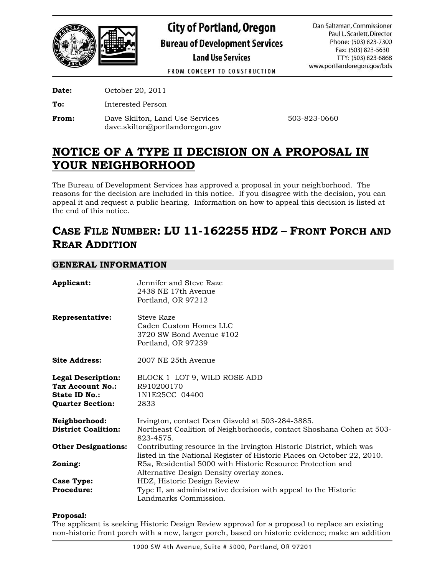

**City of Portland, Oregon Bureau of Development Services Land Use Services** 

Dan Saltzman, Commissioner Paul L. Scarlett, Director Phone: (503) 823-7300 Fax: (503) 823-5630 TTY: (503) 823-6868 www.portlandoregon.gov/bds

FROM CONCEPT TO CONSTRUCTION

**Date:** October 20, 2011

**To:** Interested Person

**From:** Dave Skilton, Land Use Services 503-823-0660 dave.skilton@portlandoregon.gov

# **NOTICE OF A TYPE II DECISION ON A PROPOSAL IN YOUR NEIGHBORHOOD**

The Bureau of Development Services has approved a proposal in your neighborhood. The reasons for the decision are included in this notice. If you disagree with the decision, you can appeal it and request a public hearing. Information on how to appeal this decision is listed at the end of this notice.

# **CASE FILE NUMBER: LU 11-162255 HDZ – FRONT PORCH AND REAR ADDITION**

# **GENERAL INFORMATION**

| Applicant:                                                                                | Jennifer and Steve Raze<br>2438 NE 17th Avenue<br>Portland, OR 97212                                                                           |  |  |  |
|-------------------------------------------------------------------------------------------|------------------------------------------------------------------------------------------------------------------------------------------------|--|--|--|
| Representative:                                                                           | <b>Steve Raze</b><br>Caden Custom Homes LLC<br>3720 SW Bond Avenue #102<br>Portland, OR 97239                                                  |  |  |  |
| <b>Site Address:</b>                                                                      | 2007 NE 25th Avenue                                                                                                                            |  |  |  |
| <b>Legal Description:</b><br>Tax Account No.:<br>State ID No.:<br><b>Quarter Section:</b> | BLOCK 1 LOT 9, WILD ROSE ADD<br>R910200170<br>1N1E25CC 04400<br>2833                                                                           |  |  |  |
| Neighborhood:<br><b>District Coalition:</b>                                               | Irvington, contact Dean Gisvold at 503-284-3885.<br>Northeast Coalition of Neighborhoods, contact Shoshana Cohen at 503-<br>823-4575.          |  |  |  |
| <b>Other Designations:</b>                                                                | Contributing resource in the Irvington Historic District, which was<br>listed in the National Register of Historic Places on October 22, 2010. |  |  |  |
| Zoning:                                                                                   | R5a, Residential 5000 with Historic Resource Protection and<br>Alternative Design Density overlay zones.                                       |  |  |  |
| <b>Case Type:</b><br><b>Procedure:</b>                                                    | HDZ, Historic Design Review<br>Type II, an administrative decision with appeal to the Historic<br>Landmarks Commission.                        |  |  |  |

## **Proposal:**

The applicant is seeking Historic Design Review approval for a proposal to replace an existing non-historic front porch with a new, larger porch, based on historic evidence; make an addition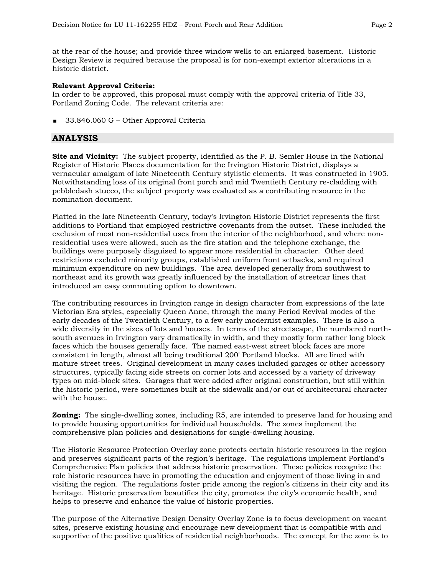at the rear of the house; and provide three window wells to an enlarged basement. Historic Design Review is required because the proposal is for non-exempt exterior alterations in a historic district.

#### **Relevant Approval Criteria:**

In order to be approved, this proposal must comply with the approval criteria of Title 33, Portland Zoning Code. The relevant criteria are:

33.846.060 G – Other Approval Criteria

## **ANALYSIS**

**Site and Vicinity:** The subject property, identified as the P. B. Semler House in the National Register of Historic Places documentation for the Irvington Historic District, displays a vernacular amalgam of late Nineteenth Century stylistic elements. It was constructed in 1905. Notwithstanding loss of its original front porch and mid Twentieth Century re-cladding with pebbledash stucco, the subject property was evaluated as a contributing resource in the nomination document.

Platted in the late Nineteenth Century, today's Irvington Historic District represents the first additions to Portland that employed restrictive covenants from the outset. These included the exclusion of most non-residential uses from the interior of the neighborhood, and where nonresidential uses were allowed, such as the fire station and the telephone exchange, the buildings were purposely disguised to appear more residential in character. Other deed restrictions excluded minority groups, established uniform front setbacks, and required minimum expenditure on new buildings. The area developed generally from southwest to northeast and its growth was greatly influenced by the installation of streetcar lines that introduced an easy commuting option to downtown.

The contributing resources in Irvington range in design character from expressions of the late Victorian Era styles, especially Queen Anne, through the many Period Revival modes of the early decades of the Twentieth Century, to a few early modernist examples. There is also a wide diversity in the sizes of lots and houses. In terms of the streetscape, the numbered northsouth avenues in Irvington vary dramatically in width, and they mostly form rather long block faces which the houses generally face. The named east-west street block faces are more consistent in length, almost all being traditional 200' Portland blocks. All are lined with mature street trees. Original development in many cases included garages or other accessory structures, typically facing side streets on corner lots and accessed by a variety of driveway types on mid-block sites. Garages that were added after original construction, but still within the historic period, were sometimes built at the sidewalk and/or out of architectural character with the house.

**Zoning:** The single-dwelling zones, including R5, are intended to preserve land for housing and to provide housing opportunities for individual households. The zones implement the comprehensive plan policies and designations for single-dwelling housing.

The Historic Resource Protection Overlay zone protects certain historic resources in the region and preserves significant parts of the region's heritage. The regulations implement Portland's Comprehensive Plan policies that address historic preservation. These policies recognize the role historic resources have in promoting the education and enjoyment of those living in and visiting the region. The regulations foster pride among the region's citizens in their city and its heritage. Historic preservation beautifies the city, promotes the city's economic health, and helps to preserve and enhance the value of historic properties.

The purpose of the Alternative Design Density Overlay Zone is to focus development on vacant sites, preserve existing housing and encourage new development that is compatible with and supportive of the positive qualities of residential neighborhoods. The concept for the zone is to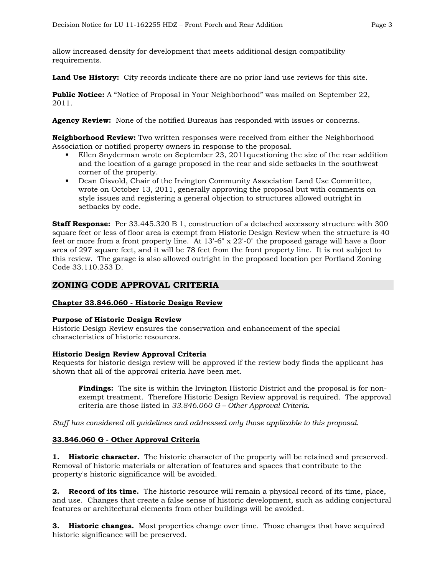allow increased density for development that meets additional design compatibility requirements.

**Land Use History:** City records indicate there are no prior land use reviews for this site.

**Public Notice:** A "Notice of Proposal in Your Neighborhood" was mailed on September 22, 2011.

**Agency Review:** None of the notified Bureaus has responded with issues or concerns.

**Neighborhood Review:** Two written responses were received from either the Neighborhood Association or notified property owners in response to the proposal.

- Ellen Snyderman wrote on September 23, 2011questioning the size of the rear addition and the location of a garage proposed in the rear and side setbacks in the southwest corner of the property.
- Dean Gisvold, Chair of the Irvington Community Association Land Use Committee, wrote on October 13, 2011, generally approving the proposal but with comments on style issues and registering a general objection to structures allowed outright in setbacks by code.

**Staff Response:** Per 33.445.320 B 1, construction of a detached accessory structure with 300 square feet or less of floor area is exempt from Historic Design Review when the structure is 40 feet or more from a front property line. At 13'-6" x 22'-0" the proposed garage will have a floor area of 297 square feet, and it will be 78 feet from the front property line. It is not subject to this review. The garage is also allowed outright in the proposed location per Portland Zoning Code 33.110.253 D.

# **ZONING CODE APPROVAL CRITERIA**

#### **Chapter 33.846.060 - Historic Design Review**

#### **Purpose of Historic Design Review**

Historic Design Review ensures the conservation and enhancement of the special characteristics of historic resources.

#### **Historic Design Review Approval Criteria**

Requests for historic design review will be approved if the review body finds the applicant has shown that all of the approval criteria have been met.

**Findings:** The site is within the Irvington Historic District and the proposal is for nonexempt treatment. Therefore Historic Design Review approval is required. The approval criteria are those listed in *33.846.060 G – Other Approval Criteria*.

*Staff has considered all guidelines and addressed only those applicable to this proposal.* 

#### **33.846.060 G - Other Approval Criteria**

**1. Historic character.** The historic character of the property will be retained and preserved. Removal of historic materials or alteration of features and spaces that contribute to the property's historic significance will be avoided.

**2. Record of its time.** The historic resource will remain a physical record of its time, place, and use. Changes that create a false sense of historic development, such as adding conjectural features or architectural elements from other buildings will be avoided.

**3. Historic changes.** Most properties change over time. Those changes that have acquired historic significance will be preserved.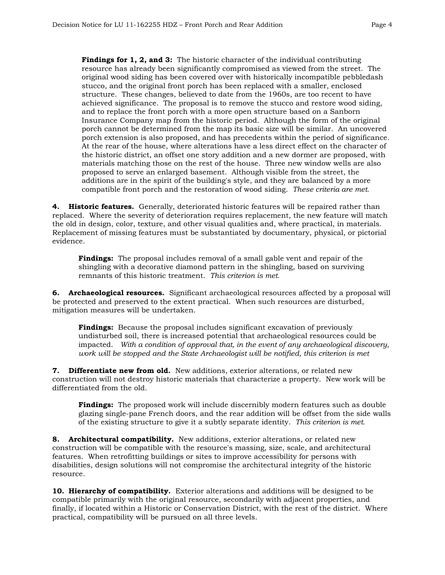**Findings for 1, 2, and 3:** The historic character of the individual contributing resource has already been significantly compromised as viewed from the street. The original wood siding has been covered over with historically incompatible pebbledash stucco, and the original front porch has been replaced with a smaller, enclosed structure. These changes, believed to date from the 1960s, are too recent to have achieved significance. The proposal is to remove the stucco and restore wood siding, and to replace the front porch with a more open structure based on a Sanborn Insurance Company map from the historic period. Although the form of the original porch cannot be determined from the map its basic size will be similar. An uncovered porch extension is also proposed, and has precedents within the period of significance. At the rear of the house, where alterations have a less direct effect on the character of the historic district, an offset one story addition and a new dormer are proposed, with materials matching those on the rest of the house. Three new window wells are also proposed to serve an enlarged basement. Although visible from the street, the additions are in the spirit of the building's style, and they are balanced by a more compatible front porch and the restoration of wood siding. *These criteria are met.* 

**4. Historic features.** Generally, deteriorated historic features will be repaired rather than replaced. Where the severity of deterioration requires replacement, the new feature will match the old in design, color, texture, and other visual qualities and, where practical, in materials. Replacement of missing features must be substantiated by documentary, physical, or pictorial evidence.

**Findings:** The proposal includes removal of a small gable vent and repair of the shingling with a decorative diamond pattern in the shingling, based on surviving remnants of this historic treatment. *This criterion is met.* 

**6. Archaeological resources.** Significant archaeological resources affected by a proposal will be protected and preserved to the extent practical. When such resources are disturbed, mitigation measures will be undertaken.

**Findings:** Because the proposal includes significant excavation of previously undisturbed soil, there is increased potential that archaeological resources could be impacted. *With a condition of approval that, in the event of any archaeological discovery, work will be stopped and the State Archaeologist will be notified, this criterion is met*

**7. Differentiate new from old.** New additions, exterior alterations, or related new construction will not destroy historic materials that characterize a property. New work will be differentiated from the old.

**Findings:** The proposed work will include discernibly modern features such as double glazing single-pane French doors, and the rear addition will be offset from the side walls of the existing structure to give it a subtly separate identity. *This criterion is met.*

**8. Architectural compatibility.** New additions, exterior alterations, or related new construction will be compatible with the resource's massing, size, scale, and architectural features. When retrofitting buildings or sites to improve accessibility for persons with disabilities, design solutions will not compromise the architectural integrity of the historic resource.

**10. Hierarchy of compatibility.** Exterior alterations and additions will be designed to be compatible primarily with the original resource, secondarily with adjacent properties, and finally, if located within a Historic or Conservation District, with the rest of the district. Where practical, compatibility will be pursued on all three levels.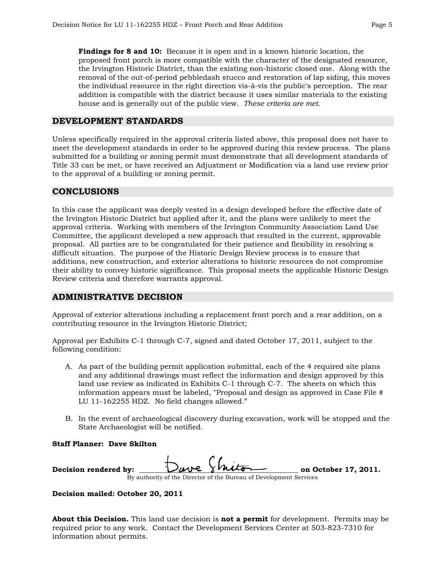**Findings for 8 and 10:** Because it is open and in a known historic location, the proposed front porch is more compatible with the character of the designated resource, the Irvington Historic District, than the existing non-historic closed one. Along with the removal of the out-of-period pebbledash stucco and restoration of lap siding, this moves the individual resource in the right direction vis-à-vis the public's perception. The rear addition is compatible with the district because it uses similar materials to the existing house and is generally out of the public view. *These criteria are met.* 

## **DEVELOPMENT STANDARDS**

Unless specifically required in the approval criteria listed above, this proposal does not have to meet the development standards in order to be approved during this review process. The plans submitted for a building or zoning permit must demonstrate that all development standards of Title 33 can be met, or have received an Adjustment or Modification via a land use review prior to the approval of a building or zoning permit.

# **CONCLUSIONS**

In this case the applicant was deeply vested in a design developed before the effective date of the Irvington Historic District but applied after it, and the plans were unlikely to meet the approval criteria. Working with members of the Irvington Community Association Land Use Committee, the applicant developed a new approach that resulted in the current, approvable proposal. All parties are to be congratulated for their patience and flexibility in resolving a difficult situation. The purpose of the Historic Design Review process is to ensure that additions, new construction, and exterior alterations to historic resources do not compromise their ability to convey historic significance. This proposal meets the applicable Historic Design Review criteria and therefore warrants approval.

# **ADMINISTRATIVE DECISION**

Approval of exterior alterations including a replacement front porch and a rear addition, on a contributing resource in the Irvington Historic District;

Approval per Exhibits C-1 through C-7, signed and dated October 17, 2011, subject to the following condition:

- A. As part of the building permit application submittal, each of the 4 required site plans and any additional drawings must reflect the information and design approved by this land use review as indicated in Exhibits C-1 through C-7. The sheets on which this information appears must be labeled, "Proposal and design as approved in Case File # LU 11-162255 HDZ. No field changes allowed."
- B. In the event of archaeological discovery during excavation, work will be stopped and the State Archaeologist will be notified.

### **Staff Planner: Dave Skilton**

| Decision rendered by:                                              |  | Dave Shito | on October 17, 2011. |  |  |
|--------------------------------------------------------------------|--|------------|----------------------|--|--|
| By authority of the Director of the Bureau of Development Services |  |            |                      |  |  |

**Decision mailed: October 20, 2011** 

**About this Decision.** This land use decision is **not a permit** for development. Permits may be required prior to any work. Contact the Development Services Center at 503-823-7310 for information about permits.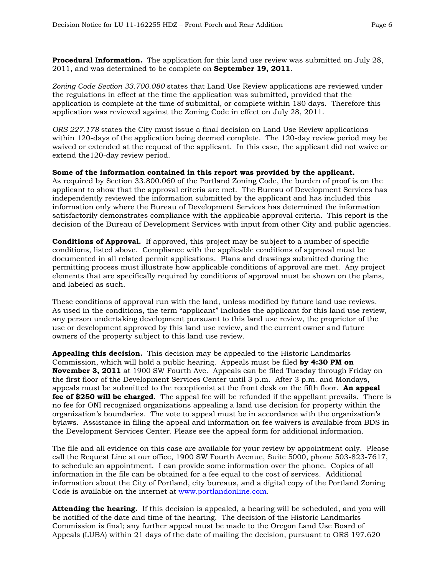**Procedural Information.** The application for this land use review was submitted on July 28, 2011, and was determined to be complete on **September 19, 2011**.

*Zoning Code Section 33.700.080* states that Land Use Review applications are reviewed under the regulations in effect at the time the application was submitted, provided that the application is complete at the time of submittal, or complete within 180 days. Therefore this application was reviewed against the Zoning Code in effect on July 28, 2011.

*ORS 227.178* states the City must issue a final decision on Land Use Review applications within 120-days of the application being deemed complete. The 120-day review period may be waived or extended at the request of the applicant. In this case, the applicant did not waive or extend the120-day review period.

**Some of the information contained in this report was provided by the applicant.** As required by Section 33.800.060 of the Portland Zoning Code, the burden of proof is on the applicant to show that the approval criteria are met. The Bureau of Development Services has independently reviewed the information submitted by the applicant and has included this information only where the Bureau of Development Services has determined the information satisfactorily demonstrates compliance with the applicable approval criteria. This report is the decision of the Bureau of Development Services with input from other City and public agencies.

**Conditions of Approval.** If approved, this project may be subject to a number of specific conditions, listed above. Compliance with the applicable conditions of approval must be documented in all related permit applications. Plans and drawings submitted during the permitting process must illustrate how applicable conditions of approval are met. Any project elements that are specifically required by conditions of approval must be shown on the plans, and labeled as such.

These conditions of approval run with the land, unless modified by future land use reviews. As used in the conditions, the term "applicant" includes the applicant for this land use review, any person undertaking development pursuant to this land use review, the proprietor of the use or development approved by this land use review, and the current owner and future owners of the property subject to this land use review.

**Appealing this decision.** This decision may be appealed to the Historic Landmarks Commission, which will hold a public hearing. Appeals must be filed **by 4:30 PM on November 3, 2011** at 1900 SW Fourth Ave. Appeals can be filed Tuesday through Friday on the first floor of the Development Services Center until 3 p.m. After 3 p.m. and Mondays, appeals must be submitted to the receptionist at the front desk on the fifth floor. **An appeal fee of \$250 will be charged**. The appeal fee will be refunded if the appellant prevails. There is no fee for ONI recognized organizations appealing a land use decision for property within the organization's boundaries. The vote to appeal must be in accordance with the organization's bylaws. Assistance in filing the appeal and information on fee waivers is available from BDS in the Development Services Center. Please see the appeal form for additional information.

The file and all evidence on this case are available for your review by appointment only. Please call the Request Line at our office, 1900 SW Fourth Avenue, Suite 5000, phone 503-823-7617, to schedule an appointment. I can provide some information over the phone. Copies of all information in the file can be obtained for a fee equal to the cost of services. Additional information about the City of Portland, city bureaus, and a digital copy of the Portland Zoning Code is available on the internet at [www.portlandonline.com](http://www.ci.portland.or.us/).

**Attending the hearing.** If this decision is appealed, a hearing will be scheduled, and you will be notified of the date and time of the hearing. The decision of the Historic Landmarks Commission is final; any further appeal must be made to the Oregon Land Use Board of Appeals (LUBA) within 21 days of the date of mailing the decision, pursuant to ORS 197.620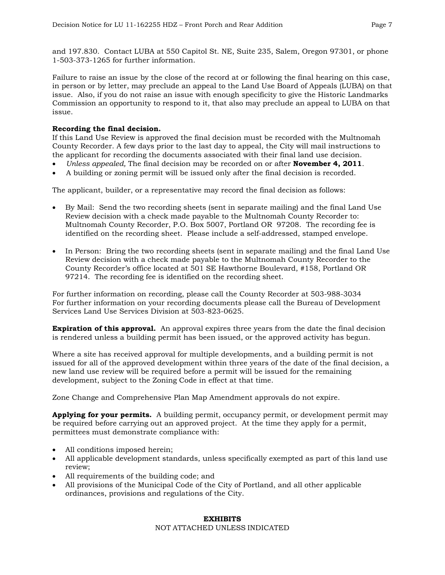and 197.830. Contact LUBA at 550 Capitol St. NE, Suite 235, Salem, Oregon 97301, or phone 1-503-373-1265 for further information.

Failure to raise an issue by the close of the record at or following the final hearing on this case, in person or by letter, may preclude an appeal to the Land Use Board of Appeals (LUBA) on that issue. Also, if you do not raise an issue with enough specificity to give the Historic Landmarks Commission an opportunity to respond to it, that also may preclude an appeal to LUBA on that issue.

### **Recording the final decision.**

If this Land Use Review is approved the final decision must be recorded with the Multnomah County Recorder. A few days prior to the last day to appeal, the City will mail instructions to the applicant for recording the documents associated with their final land use decision.

- *Unless appealed,* The final decision may be recorded on or after **November 4, 2011**.
- A building or zoning permit will be issued only after the final decision is recorded.

The applicant, builder, or a representative may record the final decision as follows:

- By Mail: Send the two recording sheets (sent in separate mailing) and the final Land Use Review decision with a check made payable to the Multnomah County Recorder to: Multnomah County Recorder, P.O. Box 5007, Portland OR 97208. The recording fee is identified on the recording sheet. Please include a self-addressed, stamped envelope.
- In Person: Bring the two recording sheets (sent in separate mailing) and the final Land Use Review decision with a check made payable to the Multnomah County Recorder to the County Recorder's office located at 501 SE Hawthorne Boulevard, #158, Portland OR 97214. The recording fee is identified on the recording sheet.

For further information on recording, please call the County Recorder at 503-988-3034 For further information on your recording documents please call the Bureau of Development Services Land Use Services Division at 503-823-0625.

**Expiration of this approval.** An approval expires three years from the date the final decision is rendered unless a building permit has been issued, or the approved activity has begun.

Where a site has received approval for multiple developments, and a building permit is not issued for all of the approved development within three years of the date of the final decision, a new land use review will be required before a permit will be issued for the remaining development, subject to the Zoning Code in effect at that time.

Zone Change and Comprehensive Plan Map Amendment approvals do not expire.

**Applying for your permits.** A building permit, occupancy permit, or development permit may be required before carrying out an approved project. At the time they apply for a permit, permittees must demonstrate compliance with:

- All conditions imposed herein;
- All applicable development standards, unless specifically exempted as part of this land use review;
- All requirements of the building code; and
- All provisions of the Municipal Code of the City of Portland, and all other applicable ordinances, provisions and regulations of the City.

#### **EXHIBITS**  NOT ATTACHED UNLESS INDICATED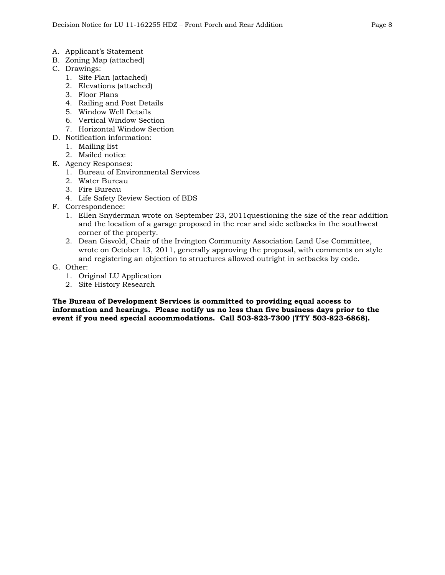- A. Applicant's Statement
- B. Zoning Map (attached)
- C. Drawings:
	- 1. Site Plan (attached)
	- 2. Elevations (attached)
	- 3. Floor Plans
	- 4. Railing and Post Details
	- 5. Window Well Details
	- 6. Vertical Window Section
	- 7. Horizontal Window Section
- D. Notification information:
	- 1. Mailing list
	- 2. Mailed notice
- E. Agency Responses:
	- 1. Bureau of Environmental Services
	- 2. Water Bureau
	- 3. Fire Bureau
	- 4. Life Safety Review Section of BDS
- F. Correspondence:
	- 1. Ellen Snyderman wrote on September 23, 2011questioning the size of the rear addition and the location of a garage proposed in the rear and side setbacks in the southwest corner of the property.
	- 2. Dean Gisvold, Chair of the Irvington Community Association Land Use Committee, wrote on October 13, 2011, generally approving the proposal, with comments on style and registering an objection to structures allowed outright in setbacks by code.
- G. Other:
	- 1. Original LU Application
	- 2. Site History Research

**The Bureau of Development Services is committed to providing equal access to information and hearings. Please notify us no less than five business days prior to the event if you need special accommodations. Call 503-823-7300 (TTY 503-823-6868).**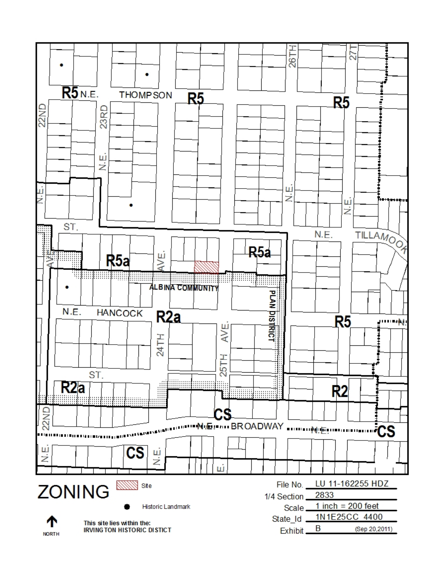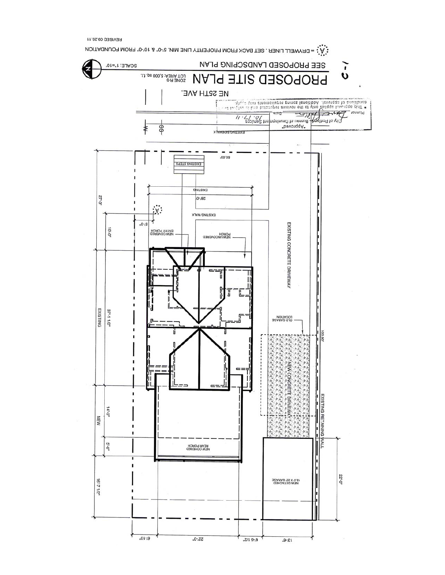